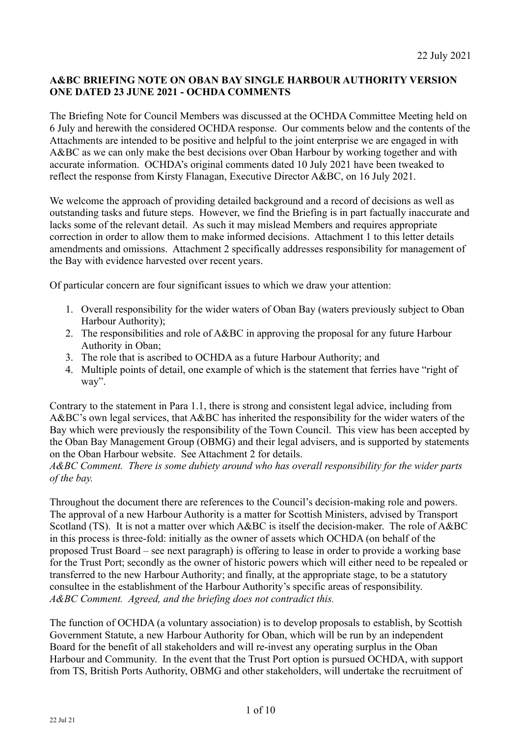# **A&BC BRIEFING NOTE ON OBAN BAY SINGLE HARBOUR AUTHORITY VERSION ONE DATED 23 JUNE 2021 - OCHDA COMMENTS**

The Briefing Note for Council Members was discussed at the OCHDA Committee Meeting held on 6 July and herewith the considered OCHDA response. Our comments below and the contents of the Attachments are intended to be positive and helpful to the joint enterprise we are engaged in with A&BC as we can only make the best decisions over Oban Harbour by working together and with accurate information. OCHDA's original comments dated 10 July 2021 have been tweaked to reflect the response from Kirsty Flanagan, Executive Director A&BC, on 16 July 2021.

We welcome the approach of providing detailed background and a record of decisions as well as outstanding tasks and future steps. However, we find the Briefing is in part factually inaccurate and lacks some of the relevant detail. As such it may mislead Members and requires appropriate correction in order to allow them to make informed decisions. Attachment 1 to this letter details amendments and omissions. Attachment 2 specifically addresses responsibility for management of the Bay with evidence harvested over recent years.

Of particular concern are four significant issues to which we draw your attention:

- 1. Overall responsibility for the wider waters of Oban Bay (waters previously subject to Oban Harbour Authority);
- 2. The responsibilities and role of A&BC in approving the proposal for any future Harbour Authority in Oban;
- 3. The role that is ascribed to OCHDA as a future Harbour Authority; and
- 4. Multiple points of detail, one example of which is the statement that ferries have "right of way".

Contrary to the statement in Para 1.1, there is strong and consistent legal advice, including from A&BC's own legal services, that A&BC has inherited the responsibility for the wider waters of the Bay which were previously the responsibility of the Town Council. This view has been accepted by the Oban Bay Management Group (OBMG) and their legal advisers, and is supported by statements on the Oban Harbour website. See Attachment 2 for details.

*A&BC Comment. There is some dubiety around who has overall responsibility for the wider parts of the bay.*

Throughout the document there are references to the Council's decision-making role and powers. The approval of a new Harbour Authority is a matter for Scottish Ministers, advised by Transport Scotland (TS). It is not a matter over which A&BC is itself the decision-maker. The role of A&BC in this process is three-fold: initially as the owner of assets which OCHDA (on behalf of the proposed Trust Board – see next paragraph) is offering to lease in order to provide a working base for the Trust Port; secondly as the owner of historic powers which will either need to be repealed or transferred to the new Harbour Authority; and finally, at the appropriate stage, to be a statutory consultee in the establishment of the Harbour Authority's specific areas of responsibility. *A&BC Comment. Agreed, and the briefing does not contradict this.*

The function of OCHDA (a voluntary association) is to develop proposals to establish, by Scottish Government Statute, a new Harbour Authority for Oban, which will be run by an independent Board for the benefit of all stakeholders and will re-invest any operating surplus in the Oban Harbour and Community. In the event that the Trust Port option is pursued OCHDA, with support from TS, British Ports Authority, OBMG and other stakeholders, will undertake the recruitment of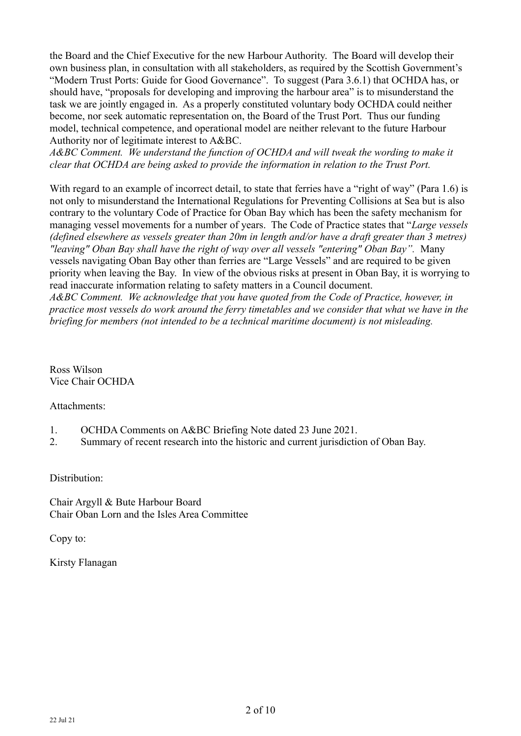the Board and the Chief Executive for the new Harbour Authority. The Board will develop their own business plan, in consultation with all stakeholders, as required by the Scottish Government's "Modern Trust Ports: Guide for Good Governance". To suggest (Para 3.6.1) that OCHDA has, or should have, "proposals for developing and improving the harbour area" is to misunderstand the task we are jointly engaged in. As a properly constituted voluntary body OCHDA could neither become, nor seek automatic representation on, the Board of the Trust Port. Thus our funding model, technical competence, and operational model are neither relevant to the future Harbour Authority nor of legitimate interest to A&BC.

A&BC Comment. We understand the function of OCHDA and will tweak the wording to make it *clear that OCHDA are being asked to provide the information in relation to the Trust Port.*

With regard to an example of incorrect detail, to state that ferries have a "right of way" (Para 1.6) is not only to misunderstand the International Regulations for Preventing Collisions at Sea but is also contrary to the voluntary Code of Practice for Oban Bay which has been the safety mechanism for managing vessel movements for a number of years. The Code of Practice states that "*Large vessels (defined elsewhere as vessels greater than 20m in length and/or have a draft greater than 3 metres) "leaving" Oban Bay shall have the right of way over all vessels "entering" Oban Bay".* Many vessels navigating Oban Bay other than ferries are "Large Vessels" and are required to be given priority when leaving the Bay. In view of the obvious risks at present in Oban Bay, it is worrying to read inaccurate information relating to safety matters in a Council document.

*A&BC Comment. We acknowledge that you have quoted from the Code of Practice, however, in practice most vessels do work around the ferry timetables and we consider that what we have in the briefing for members (not intended to be a technical maritime document) is not misleading.* 

Ross Wilson Vice Chair OCHDA

Attachments:

- 1. OCHDA Comments on A&BC Briefing Note dated 23 June 2021.
- 2. Summary of recent research into the historic and current jurisdiction of Oban Bay.

Distribution:

Chair Argyll & Bute Harbour Board Chair Oban Lorn and the Isles Area Committee

Copy to:

Kirsty Flanagan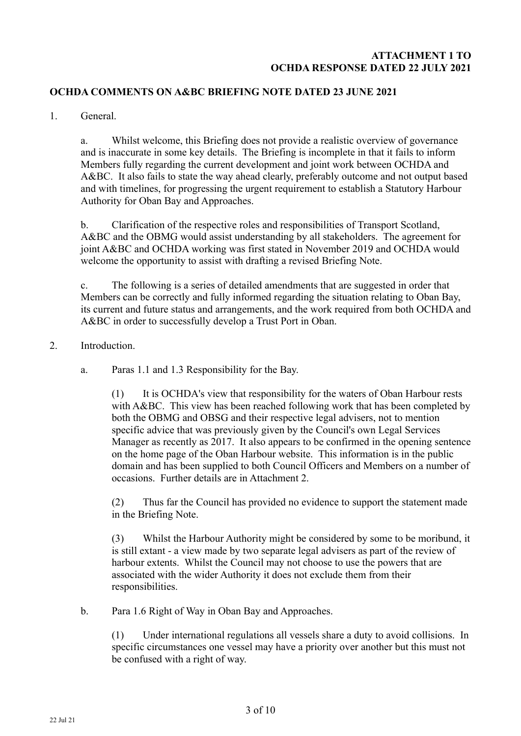#### **ATTACHMENT 1 TO OCHDA RESPONSE DATED 22 JULY 2021**

#### **OCHDA COMMENTS ON A&BC BRIEFING NOTE DATED 23 JUNE 2021**

1. General.

a. Whilst welcome, this Briefing does not provide a realistic overview of governance and is inaccurate in some key details. The Briefing is incomplete in that it fails to inform Members fully regarding the current development and joint work between OCHDA and A&BC. It also fails to state the way ahead clearly, preferably outcome and not output based and with timelines, for progressing the urgent requirement to establish a Statutory Harbour Authority for Oban Bay and Approaches.

b. Clarification of the respective roles and responsibilities of Transport Scotland, A&BC and the OBMG would assist understanding by all stakeholders. The agreement for joint A&BC and OCHDA working was first stated in November 2019 and OCHDA would welcome the opportunity to assist with drafting a revised Briefing Note.

c. The following is a series of detailed amendments that are suggested in order that Members can be correctly and fully informed regarding the situation relating to Oban Bay, its current and future status and arrangements, and the work required from both OCHDA and A&BC in order to successfully develop a Trust Port in Oban.

- 2. Introduction.
	- a. Paras 1.1 and 1.3 Responsibility for the Bay.

(1) It is OCHDA's view that responsibility for the waters of Oban Harbour rests with A&BC. This view has been reached following work that has been completed by both the OBMG and OBSG and their respective legal advisers, not to mention specific advice that was previously given by the Council's own Legal Services Manager as recently as 2017. It also appears to be confirmed in the opening sentence on the home page of the Oban Harbour website. This information is in the public domain and has been supplied to both Council Officers and Members on a number of occasions. Further details are in Attachment 2.

(2) Thus far the Council has provided no evidence to support the statement made in the Briefing Note.

(3) Whilst the Harbour Authority might be considered by some to be moribund, it is still extant - a view made by two separate legal advisers as part of the review of harbour extents. Whilst the Council may not choose to use the powers that are associated with the wider Authority it does not exclude them from their responsibilities.

b. Para 1.6 Right of Way in Oban Bay and Approaches.

(1) Under international regulations all vessels share a duty to avoid collisions. In specific circumstances one vessel may have a priority over another but this must not be confused with a right of way.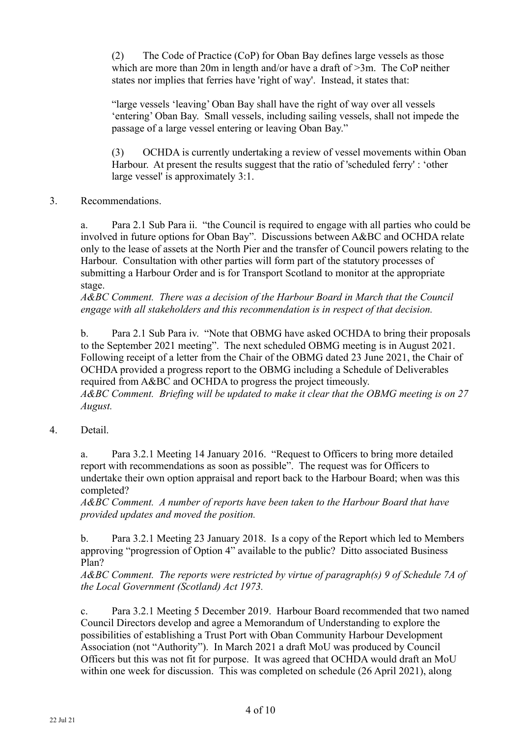(2) The Code of Practice (CoP) for Oban Bay defines large vessels as those which are more than 20m in length and/or have a draft of  $>3m$ . The CoP neither states nor implies that ferries have 'right of way'. Instead, it states that:

"large vessels 'leaving' Oban Bay shall have the right of way over all vessels 'entering' Oban Bay. Small vessels, including sailing vessels, shall not impede the passage of a large vessel entering or leaving Oban Bay."

(3) OCHDA is currently undertaking a review of vessel movements within Oban Harbour. At present the results suggest that the ratio of 'scheduled ferry' : 'other large vessel' is approximately 3:1.

3. Recommendations.

a. Para 2.1 Sub Para ii. "the Council is required to engage with all parties who could be involved in future options for Oban Bay". Discussions between A&BC and OCHDA relate only to the lease of assets at the North Pier and the transfer of Council powers relating to the Harbour. Consultation with other parties will form part of the statutory processes of submitting a Harbour Order and is for Transport Scotland to monitor at the appropriate stage.

*A&BC Comment. There was a decision of the Harbour Board in March that the Council engage with all stakeholders and this recommendation is in respect of that decision.*

b. Para 2.1 Sub Para iv. "Note that OBMG have asked OCHDA to bring their proposals to the September 2021 meeting". The next scheduled OBMG meeting is in August 2021. Following receipt of a letter from the Chair of the OBMG dated 23 June 2021, the Chair of OCHDA provided a progress report to the OBMG including a Schedule of Deliverables required from A&BC and OCHDA to progress the project timeously. *A&BC Comment. Briefing will be updated to make it clear that the OBMG meeting is on 27 August.* 

4. Detail.

a. Para 3.2.1 Meeting 14 January 2016. "Request to Officers to bring more detailed report with recommendations as soon as possible". The request was for Officers to undertake their own option appraisal and report back to the Harbour Board; when was this completed?

*A&BC Comment. A number of reports have been taken to the Harbour Board that have provided updates and moved the position.*

b. Para 3.2.1 Meeting 23 January 2018. Is a copy of the Report which led to Members approving "progression of Option 4" available to the public? Ditto associated Business Plan?

*A&BC Comment. The reports were restricted by virtue of paragraph(s) 9 of Schedule 7A of the Local Government (Scotland) Act 1973.* 

c. Para 3.2.1 Meeting 5 December 2019. Harbour Board recommended that two named Council Directors develop and agree a Memorandum of Understanding to explore the possibilities of establishing a Trust Port with Oban Community Harbour Development Association (not "Authority"). In March 2021 a draft MoU was produced by Council Officers but this was not fit for purpose. It was agreed that OCHDA would draft an MoU within one week for discussion. This was completed on schedule (26 April 2021), along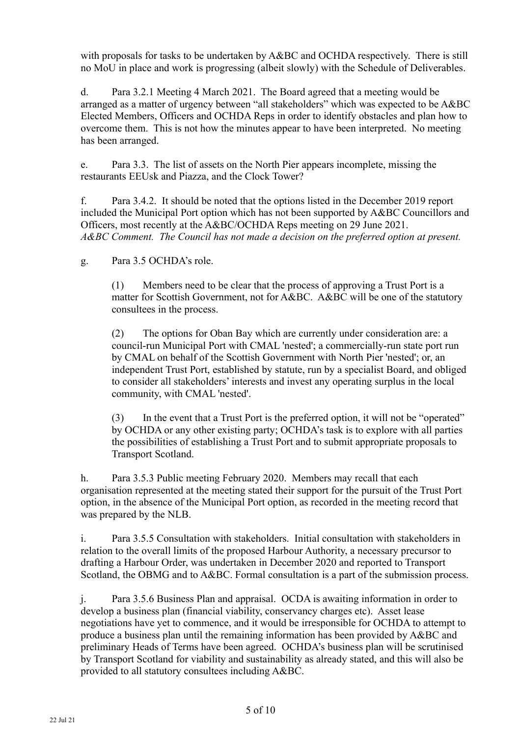with proposals for tasks to be undertaken by  $A\&B\&C$  and OCHDA respectively. There is still no MoU in place and work is progressing (albeit slowly) with the Schedule of Deliverables.

d. Para 3.2.1 Meeting 4 March 2021. The Board agreed that a meeting would be arranged as a matter of urgency between "all stakeholders" which was expected to be A&BC Elected Members, Officers and OCHDA Reps in order to identify obstacles and plan how to overcome them. This is not how the minutes appear to have been interpreted. No meeting has been arranged.

e. Para 3.3. The list of assets on the North Pier appears incomplete, missing the restaurants EEUsk and Piazza, and the Clock Tower?

f. Para 3.4.2. It should be noted that the options listed in the December 2019 report included the Municipal Port option which has not been supported by A&BC Councillors and Officers, most recently at the A&BC/OCHDA Reps meeting on 29 June 2021. *A&BC Comment. The Council has not made a decision on the preferred option at present.*

g. Para 3.5 OCHDA's role.

(1) Members need to be clear that the process of approving a Trust Port is a matter for Scottish Government, not for A&BC. A&BC will be one of the statutory consultees in the process.

(2) The options for Oban Bay which are currently under consideration are: a council-run Municipal Port with CMAL 'nested'; a commercially-run state port run by CMAL on behalf of the Scottish Government with North Pier 'nested'; or, an independent Trust Port, established by statute, run by a specialist Board, and obliged to consider all stakeholders' interests and invest any operating surplus in the local community, with CMAL 'nested'.

(3) In the event that a Trust Port is the preferred option, it will not be "operated" by OCHDA or any other existing party; OCHDA's task is to explore with all parties the possibilities of establishing a Trust Port and to submit appropriate proposals to Transport Scotland.

h. Para 3.5.3 Public meeting February 2020. Members may recall that each organisation represented at the meeting stated their support for the pursuit of the Trust Port option, in the absence of the Municipal Port option, as recorded in the meeting record that was prepared by the NLB.

i. Para 3.5.5 Consultation with stakeholders. Initial consultation with stakeholders in relation to the overall limits of the proposed Harbour Authority, a necessary precursor to drafting a Harbour Order, was undertaken in December 2020 and reported to Transport Scotland, the OBMG and to A&BC. Formal consultation is a part of the submission process.

j. Para 3.5.6 Business Plan and appraisal. OCDA is awaiting information in order to develop a business plan (financial viability, conservancy charges etc). Asset lease negotiations have yet to commence, and it would be irresponsible for OCHDA to attempt to produce a business plan until the remaining information has been provided by A&BC and preliminary Heads of Terms have been agreed. OCHDA's business plan will be scrutinised by Transport Scotland for viability and sustainability as already stated, and this will also be provided to all statutory consultees including A&BC.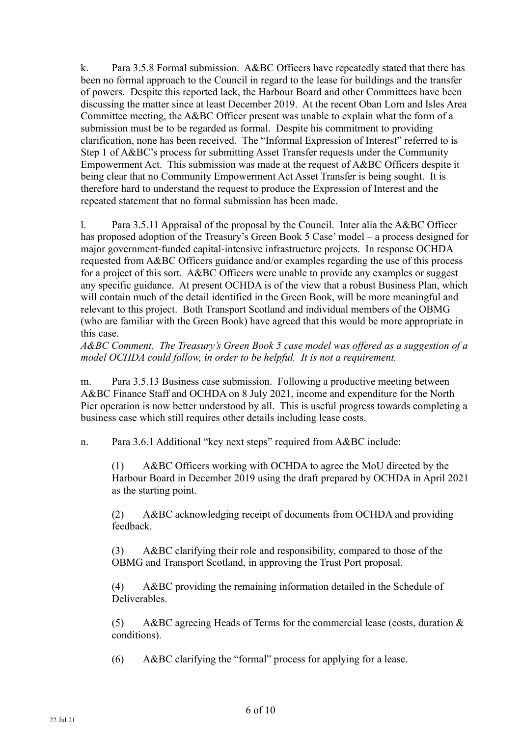k. Para 3.5.8 Formal submission. A&BC Officers have repeatedly stated that there has been no formal approach to the Council in regard to the lease for buildings and the transfer of powers. Despite this reported lack, the Harbour Board and other Committees have been discussing the matter since at least December 2019. At the recent Oban Lorn and Isles Area Committee meeting, the A&BC Officer present was unable to explain what the form of a submission must be to be regarded as formal. Despite his commitment to providing clarification, none has been received. The "Informal Expression of Interest" referred to is Step 1 of A&BC's process for submitting Asset Transfer requests under the Community Empowerment Act. This submission was made at the request of A&BC Officers despite it being clear that no Community Empowerment Act Asset Transfer is being sought. It is therefore hard to understand the request to produce the Expression of Interest and the repeated statement that no formal submission has been made.

l. Para 3.5.11 Appraisal of the proposal by the Council. Inter alia the A&BC Officer has proposed adoption of the Treasury's Green Book 5 Case' model – a process designed for major government-funded capital-intensive infrastructure projects. In response OCHDA requested from A&BC Officers guidance and/or examples regarding the use of this process for a project of this sort. A&BC Officers were unable to provide any examples or suggest any specific guidance. At present OCHDA is of the view that a robust Business Plan, which will contain much of the detail identified in the Green Book, will be more meaningful and relevant to this project. Both Transport Scotland and individual members of the OBMG (who are familiar with the Green Book) have agreed that this would be more appropriate in this case.

*A&BC Comment. The Treasury's Green Book 5 case model was offered as a suggestion of a model OCHDA could follow, in order to be helpful. It is not a requirement.* 

m. Para 3.5.13 Business case submission. Following a productive meeting between A&BC Finance Staff and OCHDA on 8 July 2021, income and expenditure for the North Pier operation is now better understood by all. This is useful progress towards completing a business case which still requires other details including lease costs.

n. Para 3.6.1 Additional "key next steps" required from A&BC include:

(1) A&BC Officers working with OCHDA to agree the MoU directed by the Harbour Board in December 2019 using the draft prepared by OCHDA in April 2021 as the starting point.

(2) A&BC acknowledging receipt of documents from OCHDA and providing feedback.

(3) A&BC clarifying their role and responsibility, compared to those of the OBMG and Transport Scotland, in approving the Trust Port proposal.

(4) A&BC providing the remaining information detailed in the Schedule of **Deliverables** 

(5) A&BC agreeing Heads of Terms for the commercial lease (costs, duration & conditions).

(6) A&BC clarifying the "formal" process for applying for a lease.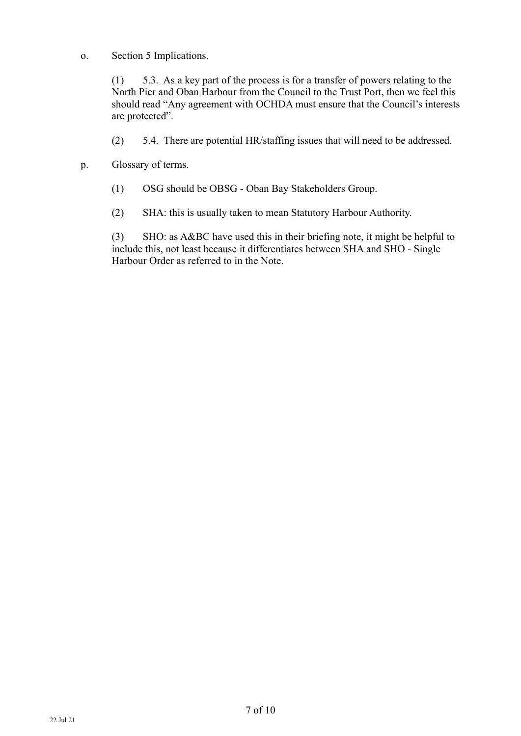o. Section 5 Implications.

(1) 5.3. As a key part of the process is for a transfer of powers relating to the North Pier and Oban Harbour from the Council to the Trust Port, then we feel this should read "Any agreement with OCHDA must ensure that the Council's interests are protected".

- (2) 5.4. There are potential HR/staffing issues that will need to be addressed.
- p. Glossary of terms.
	- (1) OSG should be OBSG Oban Bay Stakeholders Group.
	- (2) SHA: this is usually taken to mean Statutory Harbour Authority.

(3) SHO: as A&BC have used this in their briefing note, it might be helpful to include this, not least because it differentiates between SHA and SHO - Single Harbour Order as referred to in the Note.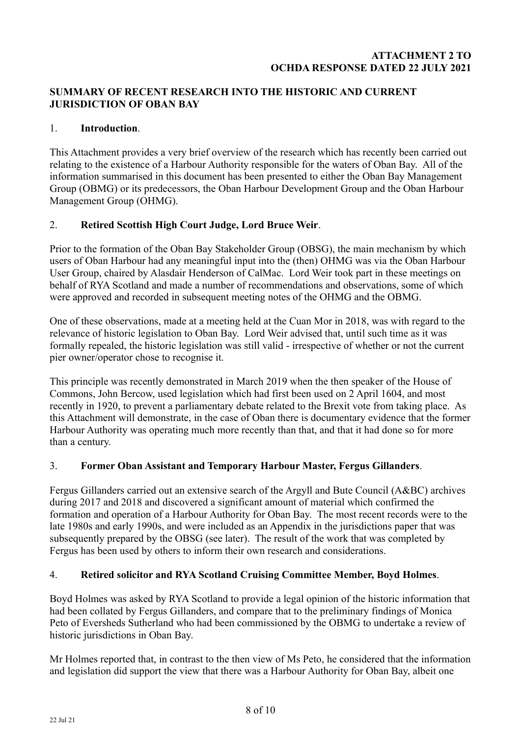# **ATTACHMENT 2 TO OCHDA RESPONSE DATED 22 JULY 2021**

# **SUMMARY OF RECENT RESEARCH INTO THE HISTORIC AND CURRENT JURISDICTION OF OBAN BAY**

# 1. **Introduction**.

This Attachment provides a very brief overview of the research which has recently been carried out relating to the existence of a Harbour Authority responsible for the waters of Oban Bay. All of the information summarised in this document has been presented to either the Oban Bay Management Group (OBMG) or its predecessors, the Oban Harbour Development Group and the Oban Harbour Management Group (OHMG).

# 2. **Retired Scottish High Court Judge, Lord Bruce Weir**.

Prior to the formation of the Oban Bay Stakeholder Group (OBSG), the main mechanism by which users of Oban Harbour had any meaningful input into the (then) OHMG was via the Oban Harbour User Group, chaired by Alasdair Henderson of CalMac. Lord Weir took part in these meetings on behalf of RYA Scotland and made a number of recommendations and observations, some of which were approved and recorded in subsequent meeting notes of the OHMG and the OBMG.

One of these observations, made at a meeting held at the Cuan Mor in 2018, was with regard to the relevance of historic legislation to Oban Bay. Lord Weir advised that, until such time as it was formally repealed, the historic legislation was still valid - irrespective of whether or not the current pier owner/operator chose to recognise it.

This principle was recently demonstrated in March 2019 when the then speaker of the House of Commons, John Bercow, used legislation which had first been used on 2 April 1604, and most recently in 1920, to prevent a parliamentary debate related to the Brexit vote from taking place. As this Attachment will demonstrate, in the case of Oban there is documentary evidence that the former Harbour Authority was operating much more recently than that, and that it had done so for more than a century.

# 3. **Former Oban Assistant and Temporary Harbour Master, Fergus Gillanders**.

Fergus Gillanders carried out an extensive search of the Argyll and Bute Council (A&BC) archives during 2017 and 2018 and discovered a significant amount of material which confirmed the formation and operation of a Harbour Authority for Oban Bay. The most recent records were to the late 1980s and early 1990s, and were included as an Appendix in the jurisdictions paper that was subsequently prepared by the OBSG (see later). The result of the work that was completed by Fergus has been used by others to inform their own research and considerations.

#### 4. **Retired solicitor and RYA Scotland Cruising Committee Member, Boyd Holmes**.

Boyd Holmes was asked by RYA Scotland to provide a legal opinion of the historic information that had been collated by Fergus Gillanders, and compare that to the preliminary findings of Monica Peto of Eversheds Sutherland who had been commissioned by the OBMG to undertake a review of historic jurisdictions in Oban Bay.

Mr Holmes reported that, in contrast to the then view of Ms Peto, he considered that the information and legislation did support the view that there was a Harbour Authority for Oban Bay, albeit one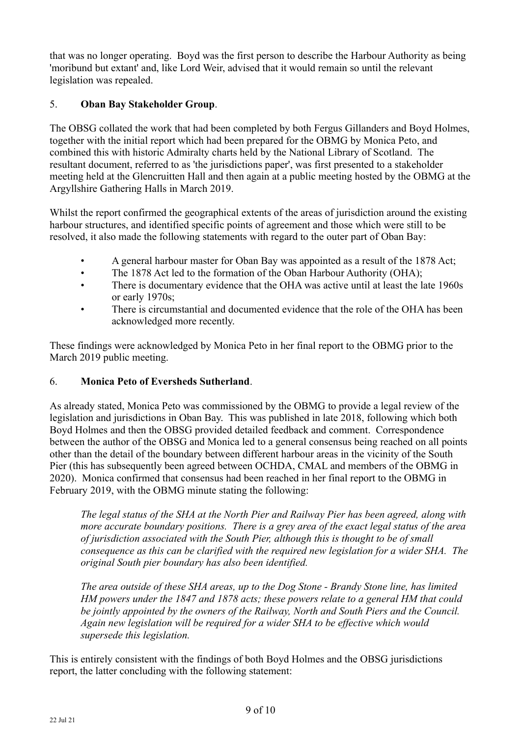that was no longer operating. Boyd was the first person to describe the Harbour Authority as being 'moribund but extant' and, like Lord Weir, advised that it would remain so until the relevant legislation was repealed.

# 5. **Oban Bay Stakeholder Group**.

The OBSG collated the work that had been completed by both Fergus Gillanders and Boyd Holmes, together with the initial report which had been prepared for the OBMG by Monica Peto, and combined this with historic Admiralty charts held by the National Library of Scotland. The resultant document, referred to as 'the jurisdictions paper', was first presented to a stakeholder meeting held at the Glencruitten Hall and then again at a public meeting hosted by the OBMG at the Argyllshire Gathering Halls in March 2019.

Whilst the report confirmed the geographical extents of the areas of jurisdiction around the existing harbour structures, and identified specific points of agreement and those which were still to be resolved, it also made the following statements with regard to the outer part of Oban Bay:

- A general harbour master for Oban Bay was appointed as a result of the 1878 Act;
- The 1878 Act led to the formation of the Oban Harbour Authority (OHA);
- There is documentary evidence that the OHA was active until at least the late 1960s or early 1970s;
- There is circumstantial and documented evidence that the role of the OHA has been acknowledged more recently.

These findings were acknowledged by Monica Peto in her final report to the OBMG prior to the March 2019 public meeting.

# 6. **Monica Peto of Eversheds Sutherland**.

As already stated, Monica Peto was commissioned by the OBMG to provide a legal review of the legislation and jurisdictions in Oban Bay. This was published in late 2018, following which both Boyd Holmes and then the OBSG provided detailed feedback and comment. Correspondence between the author of the OBSG and Monica led to a general consensus being reached on all points other than the detail of the boundary between different harbour areas in the vicinity of the South Pier (this has subsequently been agreed between OCHDA, CMAL and members of the OBMG in 2020). Monica confirmed that consensus had been reached in her final report to the OBMG in February 2019, with the OBMG minute stating the following:

*The legal status of the SHA at the North Pier and Railway Pier has been agreed, along with more accurate boundary positions. There is a grey area of the exact legal status of the area of jurisdiction associated with the South Pier, although this is thought to be of small consequence as this can be clarified with the required new legislation for a wider SHA. The original South pier boundary has also been identified.* 

*The area outside of these SHA areas, up to the Dog Stone - Brandy Stone line, has limited HM powers under the 1847 and 1878 acts; these powers relate to a general HM that could be jointly appointed by the owners of the Railway, North and South Piers and the Council. Again new legislation will be required for a wider SHA to be effective which would supersede this legislation.*

This is entirely consistent with the findings of both Boyd Holmes and the OBSG jurisdictions report, the latter concluding with the following statement: